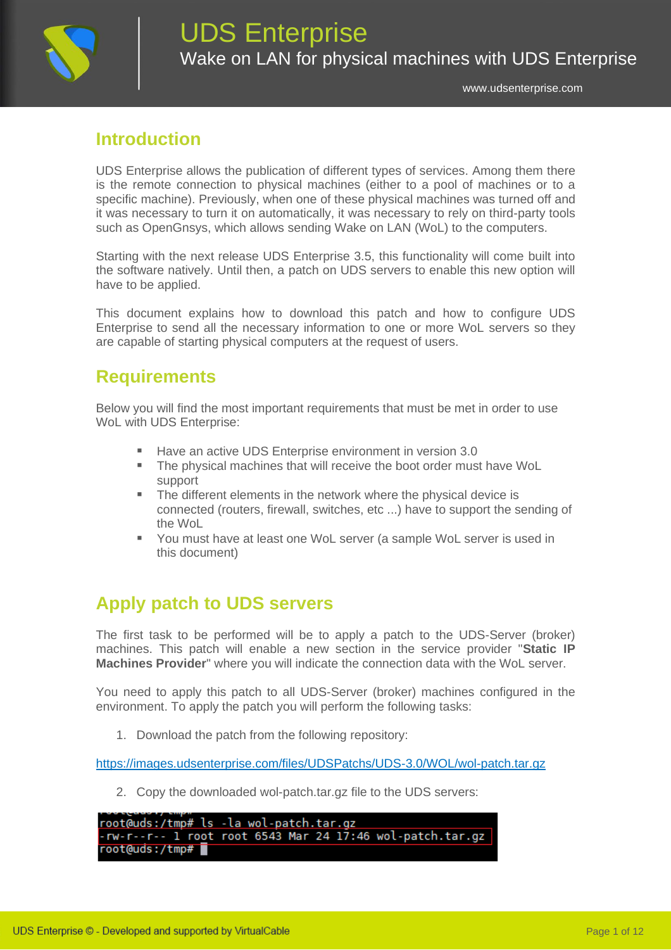

## **Introduction**

UDS Enterprise allows the publication of different types of services. Among them there is the remote connection to physical machines (either to a pool of machines or to a specific machine). Previously, when one of these physical machines was turned off and it was necessary to turn it on automatically, it was necessary to rely on third-party tools such as OpenGnsys, which allows sending Wake on LAN (WoL) to the computers.

Starting with the next release UDS Enterprise 3.5, this functionality will come built into the software natively. Until then, a patch on UDS servers to enable this new option will have to be applied.

This document explains how to download this patch and how to configure UDS Enterprise to send all the necessary information to one or more WoL servers so they are capable of starting physical computers at the request of users.

### **Requirements**

Below you will find the most important requirements that must be met in order to use WoL with UDS Enterprise:

- Have an active UDS Enterprise environment in version 3.0
- The physical machines that will receive the boot order must have WoL support
- The different elements in the network where the physical device is connected (routers, firewall, switches, etc ...) have to support the sending of the WoL
- You must have at least one WoL server (a sample WoL server is used in this document)

## **Apply patch to UDS servers**

The first task to be performed will be to apply a patch to the UDS-Server (broker) machines. This patch will enable a new section in the service provider "**Static IP Machines Provider**" where you will indicate the connection data with the WoL server.

You need to apply this patch to all UDS-Server (broker) machines configured in the environment. To apply the patch you will perform the following tasks:

1. Download the patch from the following repository:

<https://images.udsenterprise.com/files/UDSPatchs/UDS-3.0/WOL/wol-patch.tar.gz>

2. Copy the downloaded wol-patch.tar.gz file to the UDS servers:

root@uds:/tmp# ls -la wol-patch.tar.gz -rw-r--r-- l ro<u>o</u>t root 6543 Mar 24 17:46 wol-patch.tar.gz root@uds:/tmp#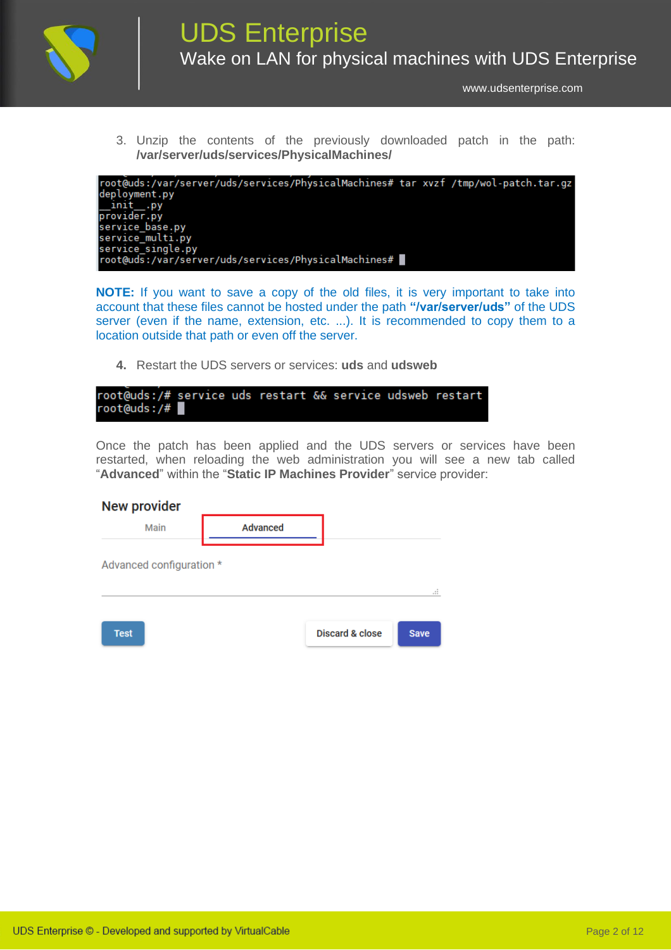

3. Unzip the contents of the previously downloaded patch in the path: **/var/server/uds/services/PhysicalMachines/**



**NOTE:** If you want to save a copy of the old files, it is very important to take into account that these files cannot be hosted under the path **"/var/server/uds"** of the UDS server (even if the name, extension, etc. ...). It is recommended to copy them to a location outside that path or even off the server.

**4.** Restart the UDS servers or services: **uds** and **udsweb**

| root@uds:/# service uds restart && service udsweb restart |  |  |  |  |
|-----------------------------------------------------------|--|--|--|--|
| $root$ (auds:/#                                           |  |  |  |  |

Once the patch has been applied and the UDS servers or services have been restarted, when reloading the web administration you will see a new tab called "**Advanced**" within the "**Static IP Machines Provider**" service provider:

| <b>New provider</b>      |                 |                            |             |
|--------------------------|-----------------|----------------------------|-------------|
| Main                     | <b>Advanced</b> |                            |             |
| Advanced configuration * |                 |                            | Æ           |
| <b>Test</b>              |                 | <b>Discard &amp; close</b> | <b>Save</b> |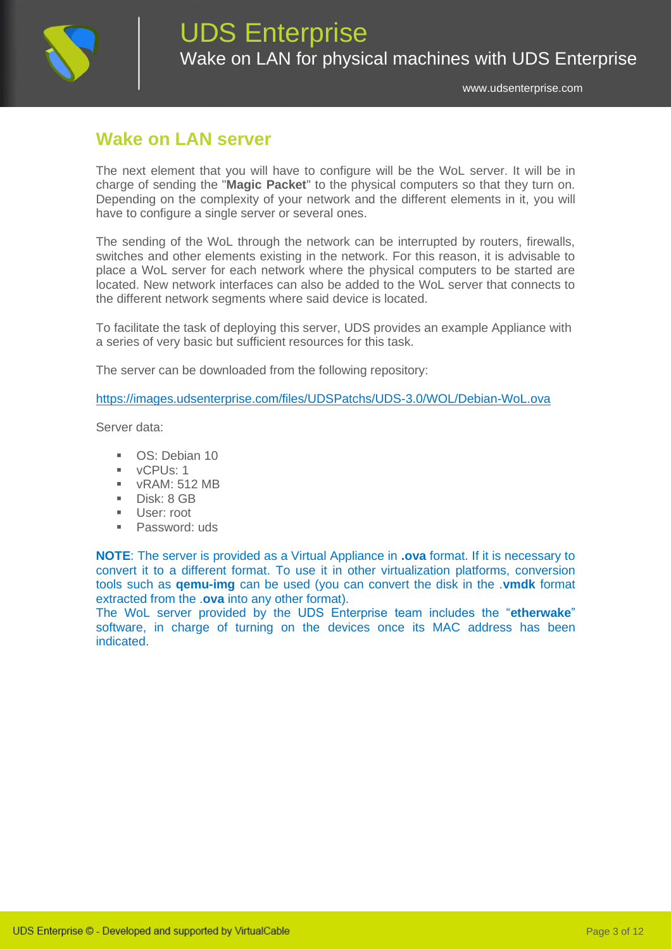

### **Wake on LAN server**

The next element that you will have to configure will be the WoL server. It will be in charge of sending the "**Magic Packet**" to the physical computers so that they turn on. Depending on the complexity of your network and the different elements in it, you will have to configure a single server or several ones.

The sending of the WoL through the network can be interrupted by routers, firewalls, switches and other elements existing in the network. For this reason, it is advisable to place a WoL server for each network where the physical computers to be started are located. New network interfaces can also be added to the WoL server that connects to the different network segments where said device is located.

To facilitate the task of deploying this server, UDS provides an example Appliance with a series of very basic but sufficient resources for this task.

The server can be downloaded from the following repository:

<https://images.udsenterprise.com/files/UDSPatchs/UDS-3.0/WOL/Debian-WoL.ova>

Server data:

- OS: Debian 10
- vCPUs: 1
- vRAM: 512 MB
- Disk: 8 GB
- User: root
- Password: uds

**NOTE**: The server is provided as a Virtual Appliance in **.ova** format. If it is necessary to convert it to a different format. To use it in other virtualization platforms, conversion tools such as **qemu-img** can be used (you can convert the disk in the .**vmdk** format extracted from the .**ova** into any other format).

The WoL server provided by the UDS Enterprise team includes the "**etherwake**" software, in charge of turning on the devices once its MAC address has been indicated.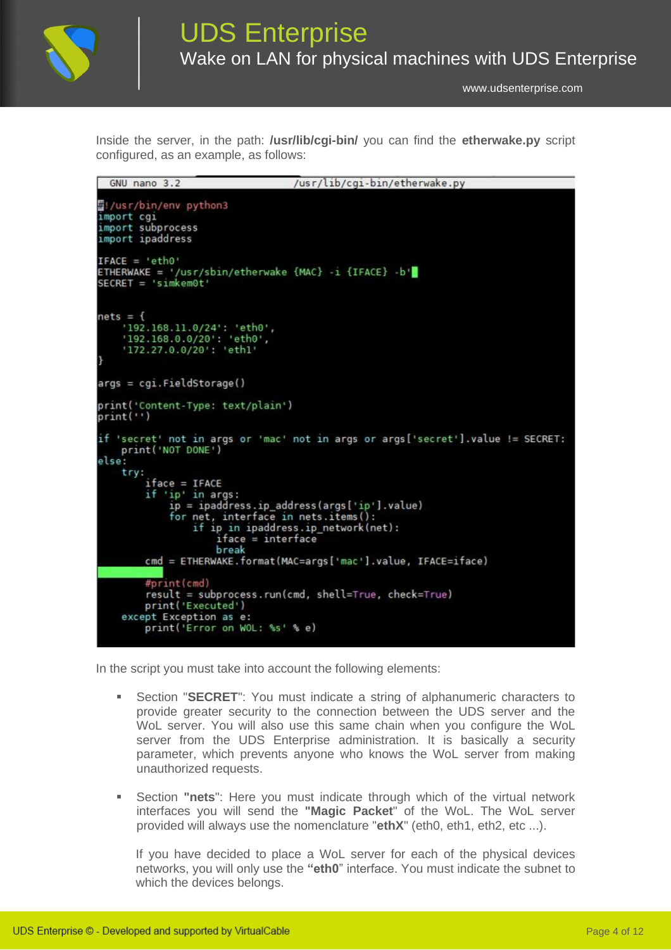

Inside the server, in the path: **/usr/lib/cgi-bin/** you can find the **etherwake.py** script configured, as an example, as follows:

| GNU nano 3.2                                                                                                                            | /usr/lib/cgi-bin/etherwake.py                                                                                                                                         |
|-----------------------------------------------------------------------------------------------------------------------------------------|-----------------------------------------------------------------------------------------------------------------------------------------------------------------------|
| 짧!/usr/bin/env python3<br>import cgi<br>import subprocess<br>import ipaddress                                                           |                                                                                                                                                                       |
| $IFACE = 'eth0'$<br>ETHERWAKE = '/usr/sbin/etherwake {MAC} i {IFACE} b'<br>$SECRET = 'simkem0t'$                                        |                                                                                                                                                                       |
| $nets = {$<br>'192.168.11.0/24': 'eth0',<br>'192.168.0.0/20': 'eth0',<br>'172.27.0.0/20': 'ethl'<br>ŀ                                   |                                                                                                                                                                       |
| $args = cgi.Fieldstorage()$                                                                                                             |                                                                                                                                                                       |
| print('Content-Type: text/plain')<br>print('')                                                                                          |                                                                                                                                                                       |
| print('NOT DONE')<br>else:<br>try:<br>$iface = IFACE$<br>if 'ip' in args:<br>for net, interface in nets.items():<br>$iface = interface$ | if 'secret' not in args or 'mac' not in args or args['secret'].value != SECRET:<br>ip = ipaddress.ip_address(args['ip'].value)<br>if ip in ipaddress.ip network(net): |
| break                                                                                                                                   | cmd = ETHERWAKE.format(MAC=args['mac'].value, IFACE=iface)                                                                                                            |
| #print(cmd)<br>print('Executed')<br>except Exception as e:<br>print('Error on WOL: %s' % e)                                             | result = subprocess.run(cmd, shell=True, check=True)                                                                                                                  |

In the script you must take into account the following elements:

- **EXECRET**": You must indicate a string of alphanumeric characters to provide greater security to the connection between the UDS server and the WoL server. You will also use this same chain when you configure the WoL server from the UDS Enterprise administration. It is basically a security parameter, which prevents anyone who knows the WoL server from making unauthorized requests.
- Section **"nets**": Here you must indicate through which of the virtual network interfaces you will send the **"Magic Packet**" of the WoL. The WoL server provided will always use the nomenclature "**ethX**" (eth0, eth1, eth2, etc ...).

If you have decided to place a WoL server for each of the physical devices networks, you will only use the **"eth0**" interface. You must indicate the subnet to which the devices belongs.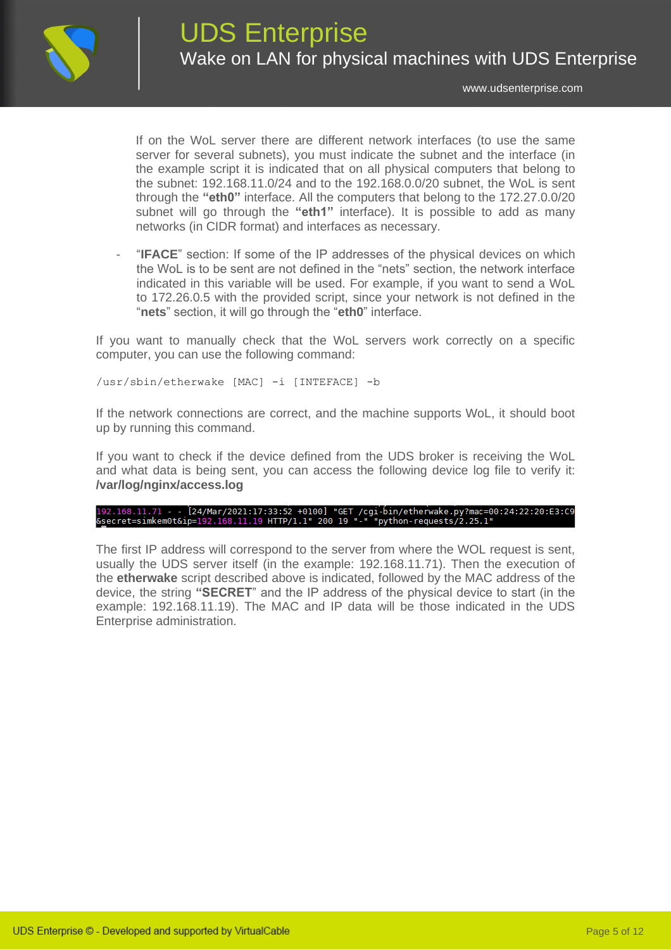

If on the WoL server there are different network interfaces (to use the same server for several subnets), you must indicate the subnet and the interface (in the example script it is indicated that on all physical computers that belong to the subnet: 192.168.11.0/24 and to the 192.168.0.0/20 subnet, the WoL is sent through the **"eth0"** interface. All the computers that belong to the 172.27.0.0/20 subnet will go through the **"eth1"** interface). It is possible to add as many networks (in CIDR format) and interfaces as necessary.

- "**IFACE**" section: If some of the IP addresses of the physical devices on which the WoL is to be sent are not defined in the "nets" section, the network interface indicated in this variable will be used. For example, if you want to send a WoL to 172.26.0.5 with the provided script, since your network is not defined in the "**nets**" section, it will go through the "**eth0**" interface.

If you want to manually check that the WoL servers work correctly on a specific computer, you can use the following command:

/usr/sbin/etherwake [MAC] -i [INTEFACE] -b

If the network connections are correct, and the machine supports WoL, it should boot up by running this command.

If you want to check if the device defined from the UDS broker is receiving the WoL and what data is being sent, you can access the following device log file to verify it: **/var/log/nginx/access.log**

# 192.168.11.71 - - [24/Mar/2021:17:33:52 +0100] "GET /cgi-bin/etherwake.py?mac=00:24:22:20:E3:C9<br>&secret=simkem0t&ip=192.168.11.19 HTTP/1.1" 200 19 "-" "python-requests/2.25.1"

The first IP address will correspond to the server from where the WOL request is sent, usually the UDS server itself (in the example: 192.168.11.71). Then the execution of the **etherwake** script described above is indicated, followed by the MAC address of the device, the string **"SECRET**" and the IP address of the physical device to start (in the example: 192.168.11.19). The MAC and IP data will be those indicated in the UDS Enterprise administration.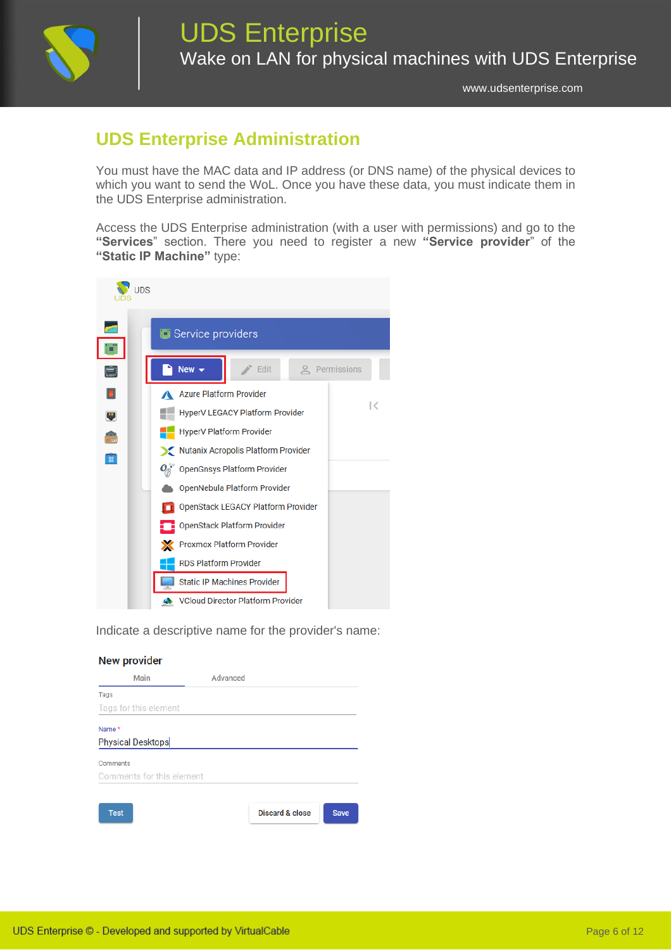

## **UDS Enterprise Administration**

You must have the MAC data and IP address (or DNS name) of the physical devices to which you want to send the WoL. Once you have these data, you must indicate them in the UDS Enterprise administration.

Access the UDS Enterprise administration (with a user with permissions) and go to the **"Services**" section. There you need to register a new **"Service provider**" of the **"Static IP Machine"** type:



Indicate a descriptive name for the provider's name:

| <b>New provider</b>       |          |                 |             |
|---------------------------|----------|-----------------|-------------|
| Main                      | Advanced |                 |             |
| Tags                      |          |                 |             |
| Tags for this element     |          |                 |             |
| Name *                    |          |                 |             |
| <b>Physical Desktops</b>  |          |                 |             |
| Comments                  |          |                 |             |
| Comments for this element |          |                 |             |
|                           |          |                 |             |
| <b>Test</b>               |          | Discard & close | <b>Save</b> |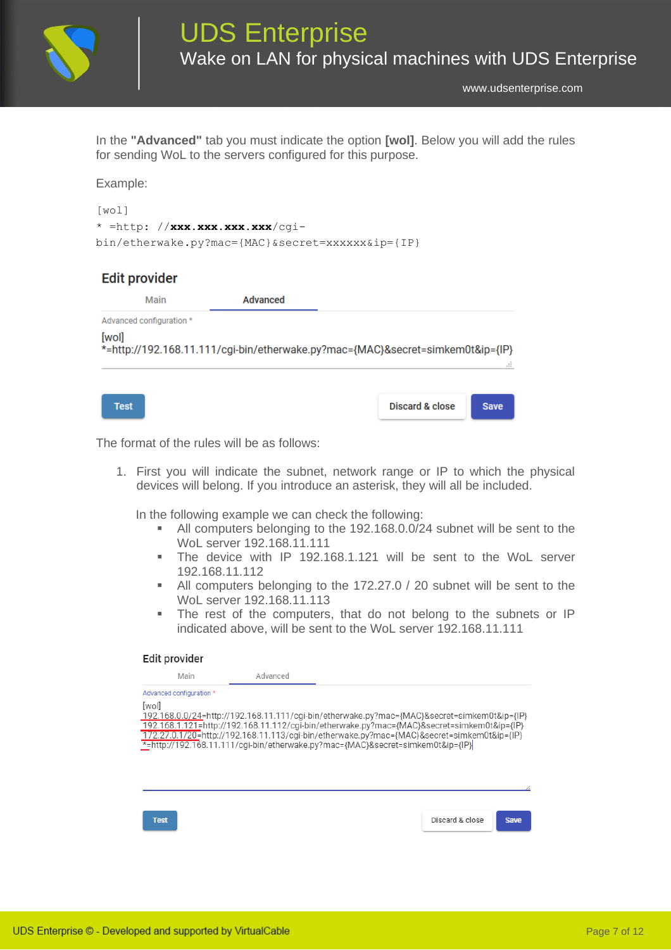

In the **"Advanced"** tab you must indicate the option **[wol]**. Below you will add the rules for sending WoL to the servers configured for this purpose.

### Example:

```
[wol]
* =http: //xxx.xxx.xxx.xxx/cgi-
bin/etherwake.py?mac={MAC}&secret=xxxxxx&ip={IP}
```
### **Edit provider**

| Main                     | Advanced |                                                                                |             |
|--------------------------|----------|--------------------------------------------------------------------------------|-------------|
| Advanced configuration * |          |                                                                                |             |
| [wol]                    |          | *=http://192.168.11.111/cgi-bin/etherwake.py?mac={MAC}&secret=simkem0t&ip={IP} | m           |
| <b>Test</b>              |          | <b>Discard &amp; close</b>                                                     | <b>Save</b> |

The format of the rules will be as follows:

1. First you will indicate the subnet, network range or IP to which the physical devices will belong. If you introduce an asterisk, they will all be included.

In the following example we can check the following:

- All computers belonging to the 192.168.0.0/24 subnet will be sent to the WoL server 192.168.11.111
- The device with IP 192.168.1.121 will be sent to the WoL server 192.168.11.112
- All computers belonging to the 172.27.0 / 20 subnet will be sent to the WoL server 192.168.11.113
- **EXTERM** The rest of the computers, that do not belong to the subnets or IP indicated above, will be sent to the WoL server 192.168.11.111

#### Edit provider

| Main                     | Advanced                                                                                    |  |  |
|--------------------------|---------------------------------------------------------------------------------------------|--|--|
| Advanced configuration * |                                                                                             |  |  |
| [wol]                    |                                                                                             |  |  |
|                          | 192.168.0.0/24=http://192.168.11.111/cqi-bin/etherwake.py?mac={MAC}&secret=simkem0t&ip={IP} |  |  |
|                          | 192.168.1.121=http://192.168.11.112/cqi-bin/etherwake.py?mac={MAC}&secret=simkem0t&ip={IP}  |  |  |
|                          | 172.27.0.1/20=http://192.168.11.113/cqi-bin/etherwake.py?mac={MAC}&secret=simkem0t&ip={IP}  |  |  |
|                          | *=http://192.168.11.111/cqi-bin/etherwake.py?mac={MAC}&secret=simkem0t&ip={IP}              |  |  |
|                          |                                                                                             |  |  |
|                          |                                                                                             |  |  |
|                          |                                                                                             |  |  |
|                          |                                                                                             |  |  |
|                          |                                                                                             |  |  |
|                          |                                                                                             |  |  |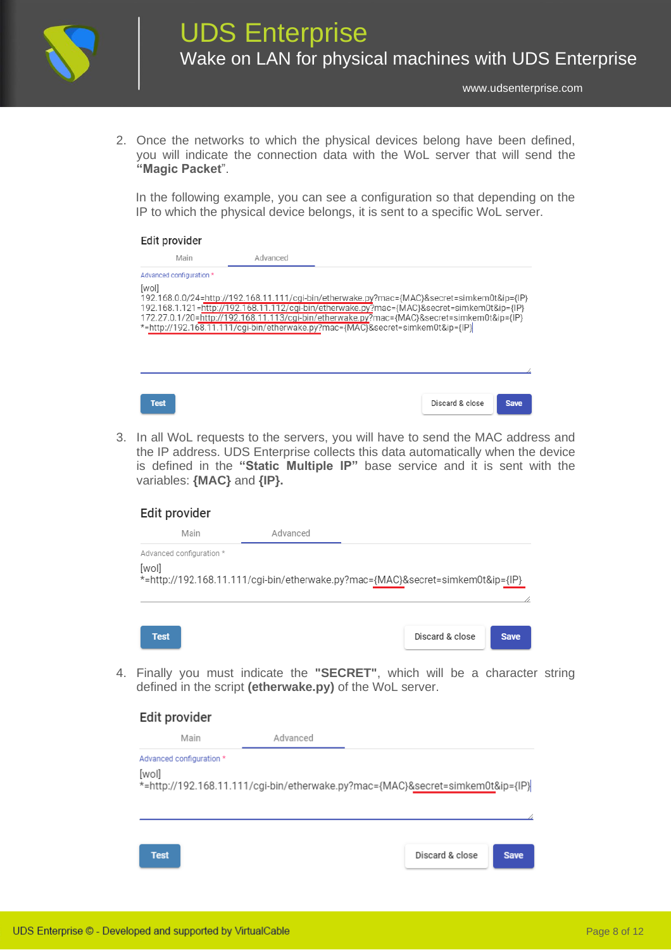

2. Once the networks to which the physical devices belong have been defined, you will indicate the connection data with the WoL server that will send the **"Magic Packet**".

In the following example, you can see a configuration so that depending on the IP to which the physical device belongs, it is sent to a specific WoL server.

### Edit provider

| Main                     | Advanced |                                                                                                                                                                                                                                                                                                                                                                           |             |
|--------------------------|----------|---------------------------------------------------------------------------------------------------------------------------------------------------------------------------------------------------------------------------------------------------------------------------------------------------------------------------------------------------------------------------|-------------|
| Advanced configuration * |          |                                                                                                                                                                                                                                                                                                                                                                           |             |
| [wol]                    |          | 192.168.0.0/24=http://192.168.11.111/cgi-bin/etherwake.py?mac={MAC}&secret=simkem0t&ip={IP}<br>192.168.1.121=http://192.168.11.112/cgi-bin/etherwake.py?mac={MAC}&secret=simkem0t&ip={IP}<br>172.27.0.1/20=http://192.168.11.113/cgi-bin/etherwake.py?mac={MAC}&secret=simkem0t&ip={IP}<br>*=http://192.168.11.111/cgi-bin/etherwake.py?mac={MAC}&secret=simkem0t&ip={IP} |             |
| <b>Test</b>              |          | Discard & close                                                                                                                                                                                                                                                                                                                                                           | <b>Save</b> |

3. In all WoL requests to the servers, you will have to send the MAC address and the IP address. UDS Enterprise collects this data automatically when the device is defined in the **"Static Multiple IP"** base service and it is sent with the variables: **{MAC}** and **{IP}.**

| Edit provider                     |                                                                                |                 |             |
|-----------------------------------|--------------------------------------------------------------------------------|-----------------|-------------|
| Main                              | Advanced                                                                       |                 |             |
| Advanced configuration *<br>[wol] | *=http://192.168.11.111/cgi-bin/etherwake.py?mac={MAC}&secret=simkem0t&ip={IP} |                 |             |
| <b>Test</b>                       |                                                                                | Discard & close | <b>Save</b> |

4. Finally you must indicate the **"SECRET"**, which will be a character string defined in the script **(etherwake.py)** of the WoL server.

| Edit provider            |                                                                                |                 |             |
|--------------------------|--------------------------------------------------------------------------------|-----------------|-------------|
| Main                     | Advanced                                                                       |                 |             |
| Advanced configuration * |                                                                                |                 |             |
| [wol]                    | *=http://192.168.11.111/cgi-bin/etherwake.py?mac={MAC}&secret=simkem0t&ip={IP} |                 |             |
|                          |                                                                                |                 |             |
|                          |                                                                                |                 |             |
|                          |                                                                                |                 |             |
|                          |                                                                                |                 |             |
| <b>Test</b>              |                                                                                | Discard & close | <b>Save</b> |
|                          |                                                                                |                 |             |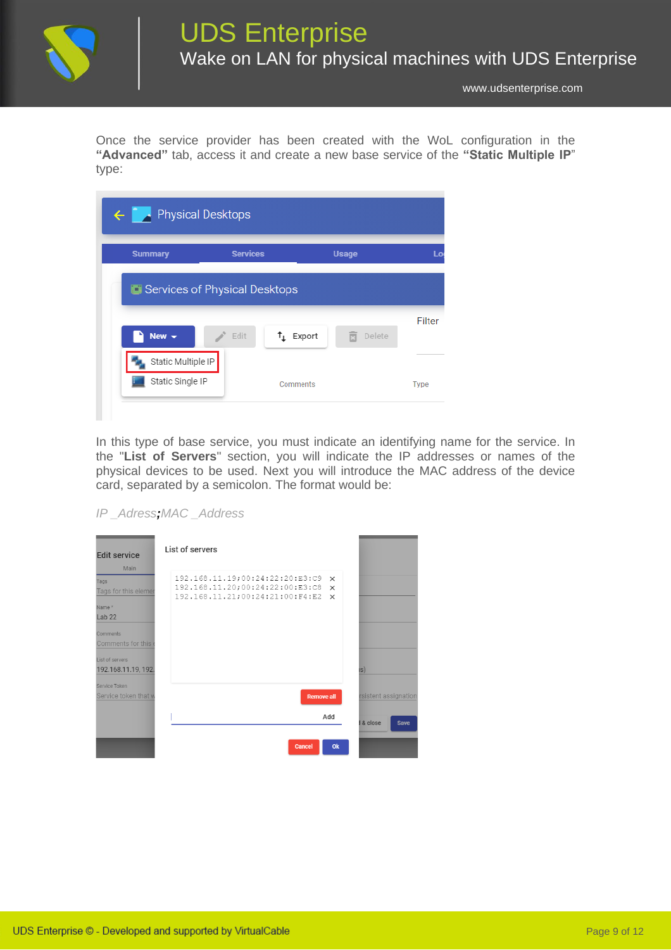

Once the service provider has been created with the WoL configuration in the **"Advanced"** tab, access it and create a new base service of the **"Static Multiple IP**" type:

| <b>Summary</b>                | <b>Services</b> |                   | <b>Usage</b> |        |
|-------------------------------|-----------------|-------------------|--------------|--------|
| Services of Physical Desktops |                 |                   |              |        |
|                               |                 |                   |              |        |
| New $\blacktriangledown$      | Edit            | $\uparrow$ Export | 岗<br>Delete  | Filter |
| Static Multiple IP            |                 |                   |              |        |

In this type of base service, you must indicate an identifying name for the service. In the "**List of Servers**" section, you will indicate the IP addresses or names of the physical devices to be used. Next you will introduce the MAC address of the device card, separated by a semicolon. The format would be:

*IP \_Adress;MAC \_Address*

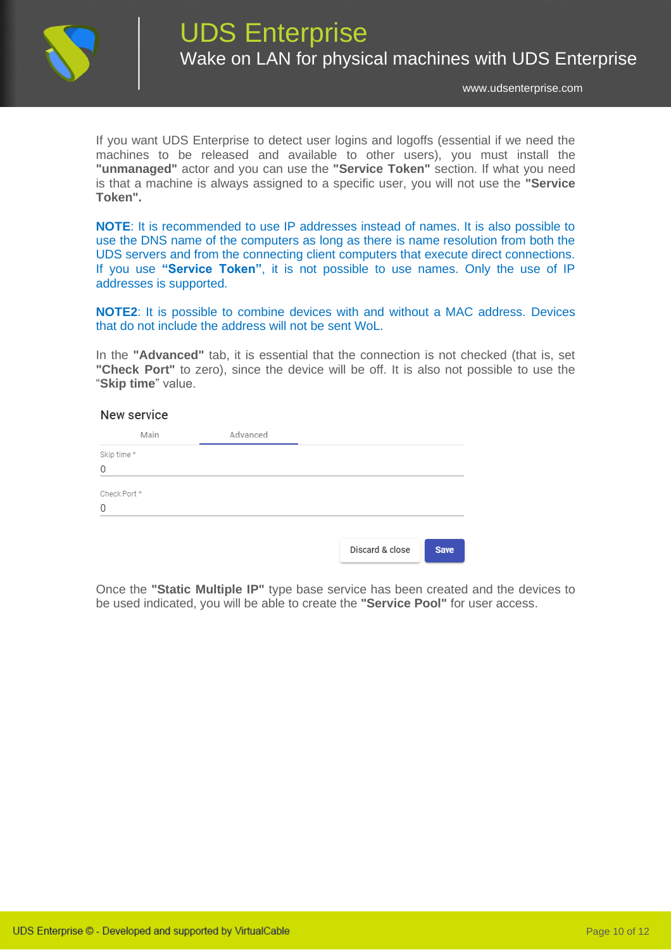

If you want UDS Enterprise to detect user logins and logoffs (essential if we need the machines to be released and available to other users), you must install the **"unmanaged"** actor and you can use the **"Service Token"** section. If what you need is that a machine is always assigned to a specific user, you will not use the **"Service Token".**

**NOTE**: It is recommended to use IP addresses instead of names. It is also possible to use the DNS name of the computers as long as there is name resolution from both the UDS servers and from the connecting client computers that execute direct connections. If you use **"Service Token"**, it is not possible to use names. Only the use of IP addresses is supported.

**NOTE2**: It is possible to combine devices with and without a MAC address. Devices that do not include the address will not be sent WoL.

In the **"Advanced"** tab, it is essential that the connection is not checked (that is, set **"Check Port"** to zero), since the device will be off. It is also not possible to use the "**Skip time**" value.

### New service

| Main         | Advanced |                 |             |
|--------------|----------|-----------------|-------------|
| Skip time *  |          |                 |             |
| 0            |          |                 |             |
| Check Port * |          |                 |             |
| 0            |          |                 |             |
|              |          |                 |             |
|              |          | Discard & close | <b>Save</b> |

Once the **"Static Multiple IP"** type base service has been created and the devices to be used indicated, you will be able to create the **"Service Pool"** for user access.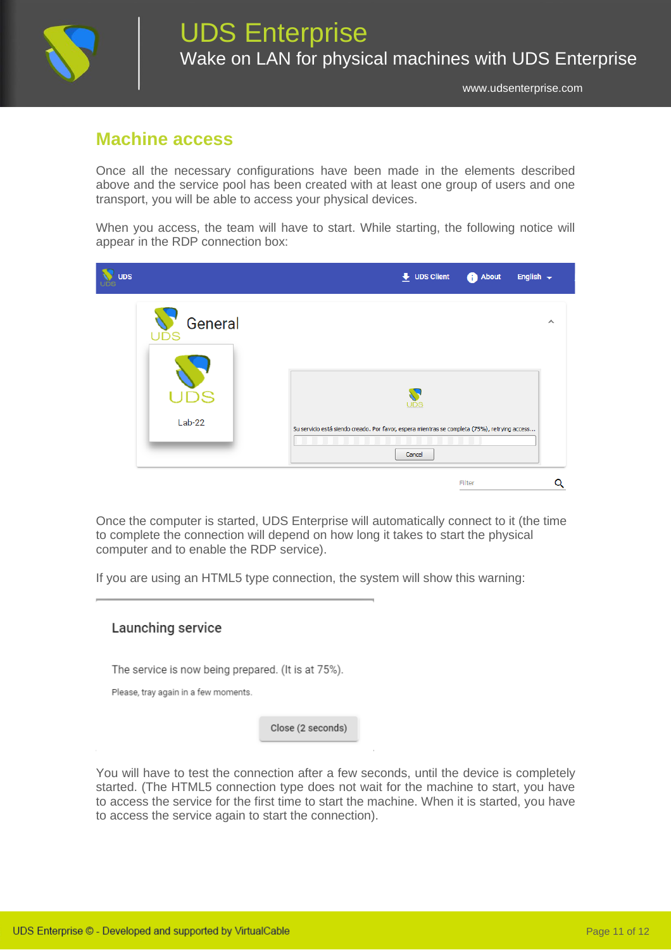

### **Machine access**

Once all the necessary configurations have been made in the elements described above and the service pool has been created with at least one group of users and one transport, you will be able to access your physical devices.

When you access, the team will have to start. While starting, the following notice will appear in the RDP connection box:

| UDS |                       | $\overline{\phantom{a}}$ UDS Client<br><b>About</b><br>English $\rightarrow$                         |          |  |
|-----|-----------------------|------------------------------------------------------------------------------------------------------|----------|--|
| UDS | General               |                                                                                                      | $\wedge$ |  |
|     | <b>US</b><br>$Lab-22$ | UDS<br>Su servicio está siendo creado. Por favor, espera mientras se completa (75%), retrying access |          |  |
|     |                       | Cancel<br>Filter                                                                                     | Q        |  |

Once the computer is started, UDS Enterprise will automatically connect to it (the time to complete the connection will depend on how long it takes to start the physical computer and to enable the RDP service).

If you are using an HTML5 type connection, the system will show this warning:

### Launching service

The service is now being prepared. (It is at 75%).

Please, tray again in a few moments.

Close (2 seconds)

You will have to test the connection after a few seconds, until the device is completely started. (The HTML5 connection type does not wait for the machine to start, you have to access the service for the first time to start the machine. When it is started, you have to access the service again to start the connection).